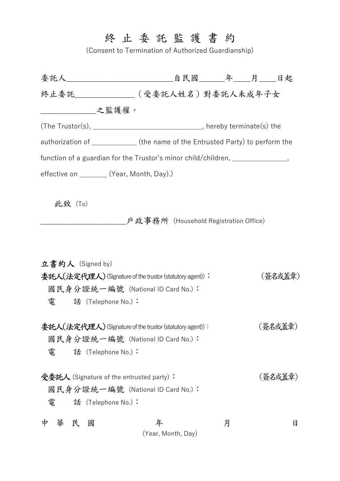## 終 止 委 託 監 護 書 約

(Consent to Termination of Authorized Guardianship)

| 委託人____________________________自民國_______年____月____日起                           |                                                                              |   |  |         |
|---------------------------------------------------------------------------------|------------------------------------------------------------------------------|---|--|---------|
| 終止委託_______(受委託人姓名)對委託人未成年子女                                                    |                                                                              |   |  |         |
| _____________________之監護權。                                                      |                                                                              |   |  |         |
|                                                                                 | (The Trustor(s), __________________________________, hereby terminate(s) the |   |  |         |
| authorization of ____________(the name of the Entrusted Party) to perform the   |                                                                              |   |  |         |
| function of a guardian for the Trustor's minor child/children, _______________, |                                                                              |   |  |         |
| effective on _________ (Year, Month, Day).)                                     |                                                                              |   |  |         |
|                                                                                 |                                                                              |   |  |         |
| 此致(To)                                                                          |                                                                              |   |  |         |
|                                                                                 | _户政事務所(Household Registration Office)                                        |   |  |         |
|                                                                                 |                                                                              |   |  |         |
| 立書約人 (Signed by)                                                                |                                                                              |   |  |         |
| 委託人(法定代理人) (Signature of the trustor (statutory agent)):                        |                                                                              |   |  | (簽名或蓋章) |
| 國民身分證統一編號 (National ID Card No.):                                               |                                                                              |   |  |         |
| 電  話 (Telephone No.):                                                           |                                                                              |   |  |         |
| 委託人(法定代理人) (Signature of the trustor (statutory agent)):                        |                                                                              |   |  | (簽名或蓋章) |
| 國民身分證統一編號 (National ID Card No.):                                               |                                                                              |   |  |         |
| 電<br>話 (Telephone No.):                                                         |                                                                              |   |  |         |
| 受委託人 (Signature of the entrusted party):                                        |                                                                              |   |  | (簽名或蓋章) |
| 國民身分證統一編號 (National ID Card No.):                                               |                                                                              |   |  |         |
| 電<br>話 (Telephone No.):                                                         |                                                                              |   |  |         |
|                                                                                 |                                                                              |   |  |         |
| 華<br>民<br>國<br>中                                                                | 年<br>(Year, Month, Day)                                                      | 月 |  | 日       |